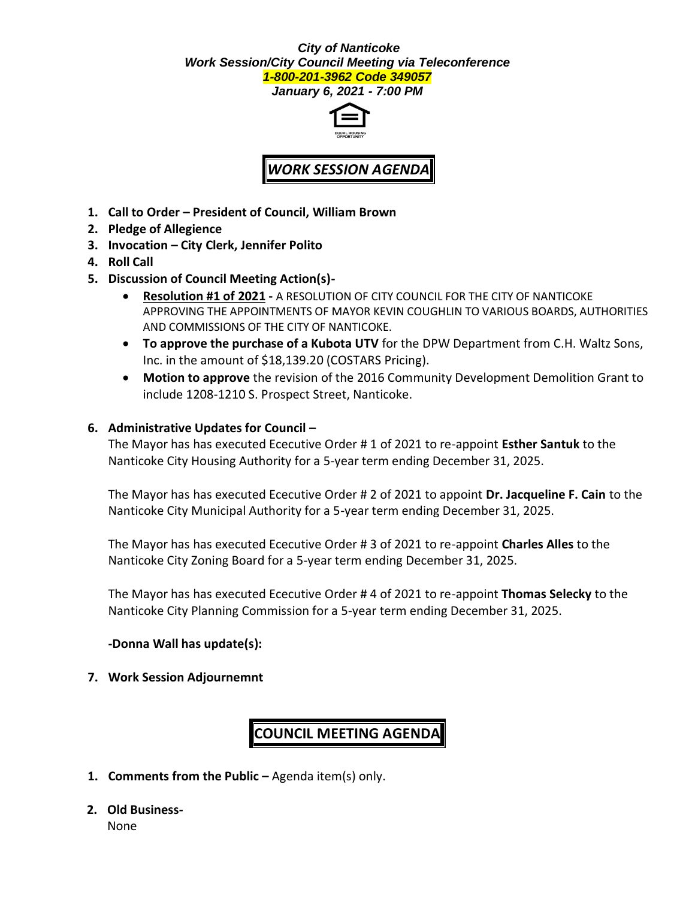#### *City of Nanticoke Work Session/City Council Meeting via Teleconference 1-800-201-3962 Code 349057*

*January 6, 2021 - 7:00 PM*



## *WORK SESSION AGENDA*

- **1. Call to Order – President of Council, William Brown**
- **2. Pledge of Allegience**
- **3. Invocation – City Clerk, Jennifer Polito**
- **4. Roll Call**
- **5. Discussion of Council Meeting Action(s)-**
	- **Resolution #1 of 2021 -** A RESOLUTION OF CITY COUNCIL FOR THE CITY OF NANTICOKE APPROVING THE APPOINTMENTS OF MAYOR KEVIN COUGHLIN TO VARIOUS BOARDS, AUTHORITIES AND COMMISSIONS OF THE CITY OF NANTICOKE.
	- **To approve the purchase of a Kubota UTV** for the DPW Department from C.H. Waltz Sons, Inc. in the amount of \$18,139.20 (COSTARS Pricing).
	- **Motion to approve** the revision of the 2016 Community Development Demolition Grant to include 1208-1210 S. Prospect Street, Nanticoke.

## **6. Administrative Updates for Council –**

The Mayor has has executed Ececutive Order # 1 of 2021 to re-appoint **Esther Santuk** to the Nanticoke City Housing Authority for a 5-year term ending December 31, 2025.

The Mayor has has executed Ececutive Order # 2 of 2021 to appoint **Dr. Jacqueline F. Cain** to the Nanticoke City Municipal Authority for a 5-year term ending December 31, 2025.

The Mayor has has executed Ececutive Order # 3 of 2021 to re-appoint **Charles Alles** to the Nanticoke City Zoning Board for a 5-year term ending December 31, 2025.

The Mayor has has executed Ececutive Order # 4 of 2021 to re-appoint **Thomas Selecky** to the Nanticoke City Planning Commission for a 5-year term ending December 31, 2025.

### **-Donna Wall has update(s):**

**7. Work Session Adjournemnt**

# **COUNCIL MEETING AGENDA**

- **1. Comments from the Public –** Agenda item(s) only.
- **2. Old Business-**

None